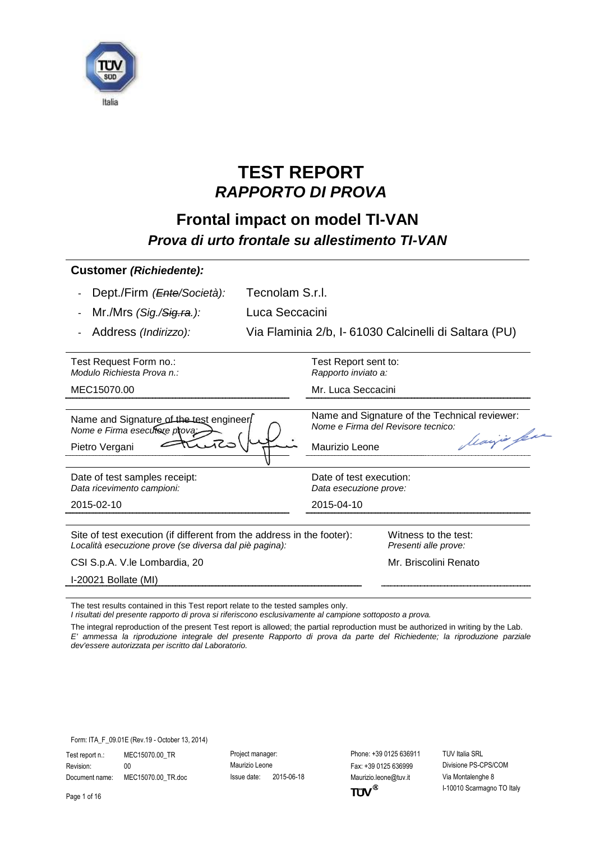

# **TEST REPORT** *RAPPORTO DI PROVA*

## **Frontal impact on model TI-VAN** *Prova di urto frontale su allestimento TI-VAN*

| <b>Customer (Richiedente):</b>                                                                                                  |                                                      |                                                                                                  |  |
|---------------------------------------------------------------------------------------------------------------------------------|------------------------------------------------------|--------------------------------------------------------------------------------------------------|--|
| Dept./Firm ( <i>Ente/Società</i> ):                                                                                             | Tecnolam S.r.l.                                      |                                                                                                  |  |
| Mr./Mrs (Sig./ <del>Sig.ra</del> .):                                                                                            | Luca Seccacini                                       |                                                                                                  |  |
| Address (Indirizzo):                                                                                                            | Via Flaminia 2/b, I-61030 Calcinelli di Saltara (PU) |                                                                                                  |  |
| Test Request Form no.:<br>Modulo Richiesta Prova n.:                                                                            | Test Report sent to:<br>Rapporto inviato a:          |                                                                                                  |  |
| MEC15070.00                                                                                                                     |                                                      | Mr. Luca Seccacini                                                                               |  |
| Name and Signature of the test engineer<br>Nome e Firma esecutore prova:<br>Pietro Vergani                                      | Maurizio Leone                                       | Name and Signature of the Technical reviewer:<br>Nome e Firma del Revisore tecnico:<br>Marjo per |  |
| Date of test samples receipt:<br>Data ricevimento campioni:                                                                     | Date of test execution:<br>Data esecuzione prove:    |                                                                                                  |  |
| 2015-02-10                                                                                                                      | 2015-04-10                                           |                                                                                                  |  |
| Site of test execution (if different from the address in the footer):<br>Località esecuzione prove (se diversa dal piè pagina): |                                                      | Witness to the test:<br>Presenti alle prove:                                                     |  |
|                                                                                                                                 |                                                      | Mr. Briscolini Renato                                                                            |  |
| CSI S.p.A. V. le Lombardia, 20                                                                                                  |                                                      |                                                                                                  |  |

The test results contained in this Test report relate to the tested samples only.

*I risultati del presente rapporto di prova si riferiscono esclusivamente al campione sottoposto a prova.*

The integral reproduction of the present Test report is allowed; the partial reproduction must be authorized in writing by the Lab. *E' ammessa la riproduzione integrale del presente Rapporto di prova da parte del Richiedente; la riproduzione parziale dev'essere autorizzata per iscritto dal Laboratorio.*

Form: ITA\_F\_09.01E (Rev.19 - October 13, 2014)

Test report n.: MEC15070.00\_TR Project manager: Phone: +39 0125 636911 TÜV Italia SRL Revision: 00 00 Maurizio Leone Fax: +39 0125 636999 Divisione PS-CPS/COM Document name: MEC15070.00\_TR.doc Issue date: 2015-06-18 Maurizio.leone@tuv.it Via Montalenghe 8

 $TUV^{\circledast}$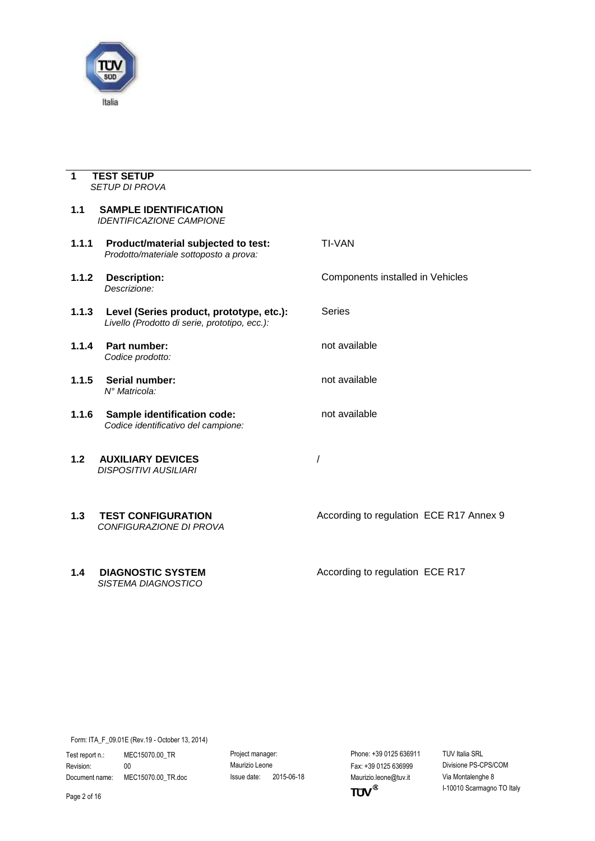

#### <span id="page-1-0"></span>**1 TEST SETUP** *SETUP DI PROVA*

<span id="page-1-2"></span><span id="page-1-1"></span>

| 1.1   | <b>SAMPLE IDENTIFICATION</b><br><b>IDENTIFICAZIONE CAMPIONE</b>                           |                                         |
|-------|-------------------------------------------------------------------------------------------|-----------------------------------------|
| 1.1.1 | Product/material subjected to test:<br>Prodotto/materiale sottoposto a prova:             | <b>TI-VAN</b>                           |
| 1.1.2 | <b>Description:</b><br>Descrizione:                                                       | Components installed in Vehicles        |
| 1.1.3 | Level (Series product, prototype, etc.):<br>Livello (Prodotto di serie, prototipo, ecc.): | <b>Series</b>                           |
| 1.1.4 | Part number:<br>Codice prodotto:                                                          | not available                           |
| 1.1.5 | Serial number:<br>N° Matricola:                                                           | not available                           |
| 1.1.6 | Sample identification code:<br>Codice identificativo del campione:                        | not available                           |
| 1.2   | <b>AUXILIARY DEVICES</b><br><b>DISPOSITIVI AUSILIARI</b>                                  |                                         |
| 1.3   | <b>TEST CONFIGURATION</b><br>CONFIGURAZIONE DI PROVA                                      | According to regulation ECE R17 Annex 9 |
| 1.4   | <b>DIAGNOSTIC SYSTEM</b><br><b>SISTEMA DIAGNOSTICO</b>                                    | According to regulation ECE R17         |

<span id="page-1-4"></span><span id="page-1-3"></span>Form: ITA\_F\_09.01E (Rev.19 - October 13, 2014)

Test report n.: MEC15070.00\_TR Project manager: Protect manager: Phone: +39 0125 636911 TÜV Italia SRL Revision: 00 Maurizio Leone Fax: +39 0125 636999 Divisione PS-CPS/COM

Document name: MEC15070.00\_TR.doc Issue date: 2015-06-18 Maurizio.leone@tuv.it Via Montalenghe 8<br>Page 2 of 16 I-10010 Scarmagno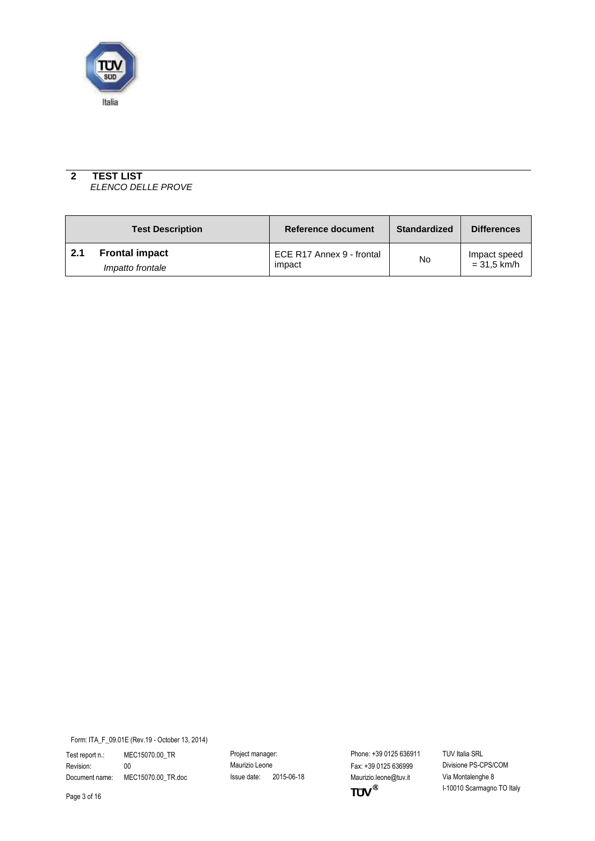

#### <span id="page-2-0"></span>**2 TEST LIST** *ELENCO DELLE PROVE*

<span id="page-2-1"></span>

|     | <b>Test Description</b> | <b>Reference document</b> | <b>Standardized</b> | <b>Differences</b> |
|-----|-------------------------|---------------------------|---------------------|--------------------|
| 2.1 | <b>Frontal impact</b>   | ECE R17 Annex 9 - frontal | No                  | Impact speed       |
|     | Impatto frontale        | impact                    |                     | $= 31.5$ km/h      |

Form: ITA\_F\_09.01E (Rev.19 - October 13, 2014)

Test report n.: MEC15070.00\_TR Project manager: Protect manager: Phone: +39 0125 636911 TÜV Italia SRL Revision: 00 Maurizio Leone Fax: +39 0125 636999 Divisione PS-CPS/COM

Document name: MEC15070.00\_TR.doc Issue date: 2015-06-18 Maurizio.leone@tuv.it Via Montalenghe 8<br>Page 3 of 16 I-10010 Scarmagno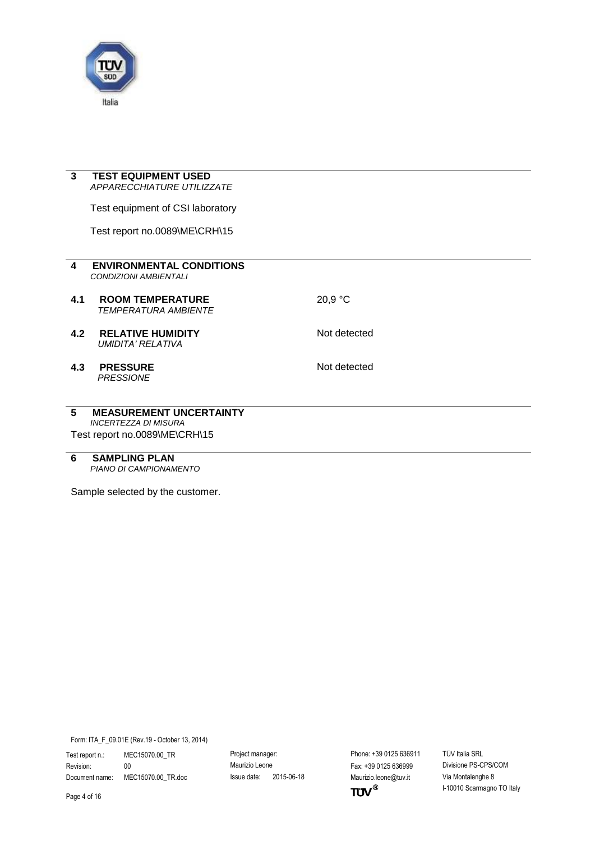

<span id="page-3-3"></span><span id="page-3-2"></span><span id="page-3-1"></span>L

<span id="page-3-0"></span>

| 3                       | <b>TEST EQUIPMENT USED</b>                                      |              |  |
|-------------------------|-----------------------------------------------------------------|--------------|--|
|                         | <b>APPARECCHIATURE UTILIZZATE</b>                               |              |  |
|                         | Test equipment of CSI laboratory                                |              |  |
|                         | Test report no.0089\ME\CRH\15                                   |              |  |
|                         |                                                                 |              |  |
| $\overline{\mathbf{4}}$ | <b>ENVIRONMENTAL CONDITIONS</b><br><b>CONDIZIONI AMBIENTALI</b> |              |  |
| 4.1                     | <b>ROOM TEMPERATURE</b><br><b>TEMPERATURA AMBIENTE</b>          | 20,9 °C      |  |
| 4.2                     | <b>RELATIVE HUMIDITY</b><br><b>UMIDITA' RELATIVA</b>            | Not detected |  |
| 4.3                     | <b>PRESSURE</b><br><b>PRESSIONE</b>                             | Not detected |  |
| 5                       | <b>MEASUREMENT UNCERTAINTY</b>                                  |              |  |
|                         | <b>INCERTEZZA DI MISURA</b>                                     |              |  |
|                         | Test report no.0089\ME\CRH\15                                   |              |  |

<span id="page-3-6"></span><span id="page-3-5"></span><span id="page-3-4"></span>**6 SAMPLING PLAN** *PIANO DI CAMPIONAMENTO*

Sample selected by the customer.

Form: ITA\_F\_09.01E (Rev.19 - October 13, 2014)

Test report n.: MEC15070.00\_TR Project manager: Protect manager: Phone: +39 0125 636911 TÜV Italia SRL Revision: 00 Maurizio Leone Fax: +39 0125 636999 Divisione PS-CPS/COM

Document name: MEC15070.00\_TR.doc Issue date: 2015-06-18 Maurizio.leone@tuv.it Via Montalenghe 8<br>Page 4 of 16 I-10010 Scarmagno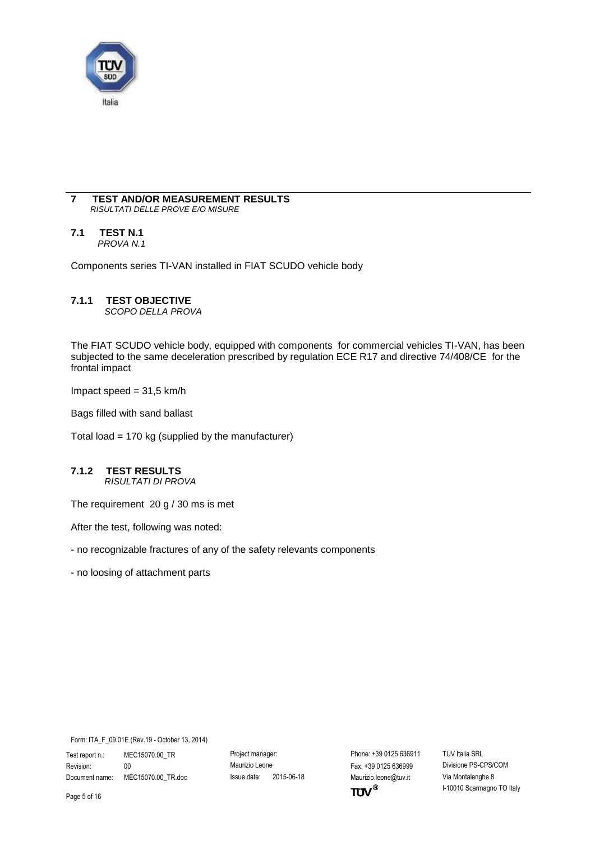

#### <span id="page-4-0"></span>**7 TEST AND/OR MEASUREMENT RESULTS** *RISULTATI DELLE PROVE E/O MISURE*

### <span id="page-4-1"></span>**7.1 TEST N.1**

*PROVA N.1*

Components series TI-VAN installed in FIAT SCUDO vehicle body

#### **7.1.1 TEST OBJECTIVE**

*SCOPO DELLA PROVA*

The FIAT SCUDO vehicle body, equipped with components for commercial vehicles TI-VAN, has been subjected to the same deceleration prescribed by regulation ECE R17 and directive 74/408/CE for the frontal impact

Impact speed  $= 31,5$  km/h

Bags filled with sand ballast

Total load = 170 kg (supplied by the manufacturer)

#### **7.1.2 TEST RESULTS** *RISULTATI DI PROVA*

The requirement 20 g / 30 ms is met

After the test, following was noted:

- no recognizable fractures of any of the safety relevants components

- no loosing of attachment parts

Form: ITA\_F\_09.01E (Rev.19 - October 13, 2014)

Test report n.: MEC15070.00\_TR Project manager: Phone: +39 0125 636911 TÜV Italia SRL Revision: 00 00 Maurizio Leone Fax: +39 0125 636999 Divisione PS-CPS/COM Document name: MEC15070.00\_TR.doc Issue date: 2015-06-18 Maurizio.leone@tuv.it Via Montalenghe 8

 $TUV$ <sup>®</sup>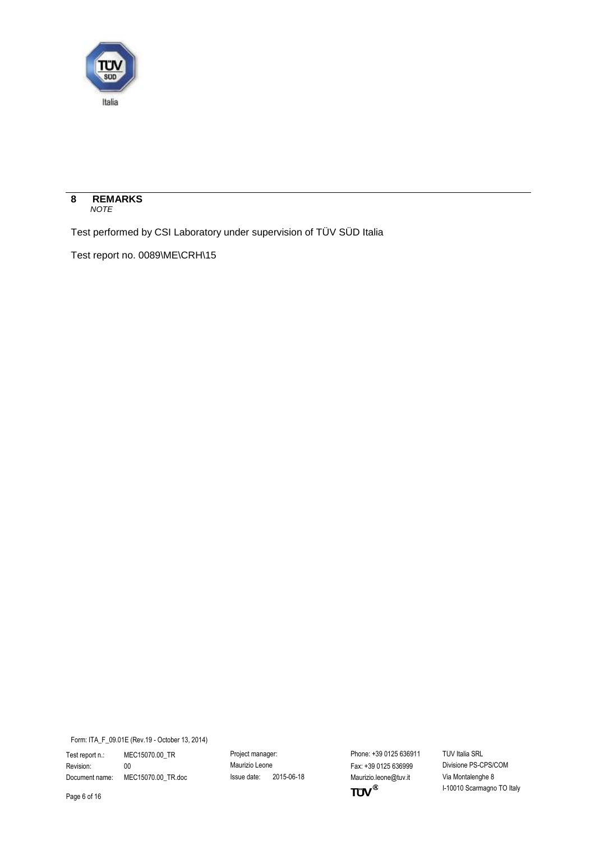

<span id="page-5-0"></span>

Test performed by CSI Laboratory under supervision of TÜV SÜD Italia

Test report no. 0089\ME\CRH\15

Form: ITA\_F\_09.01E (Rev.19 - October 13, 2014)

Test report n.: MEC15070.00\_TR Project manager: Protect manager: Phone: +39 0125 636911 TÜV Italia SRL Revision: 00 Maurizio Leone Fax: +39 0125 636999 Divisione PS-CPS/COM

Document name: MEC15070.00\_TR.doc Issue date: 2015-06-18 Maurizio.leone@tuv.it Via Montalenghe 8<br>Page 6 of 16 I-10010 Scarmagno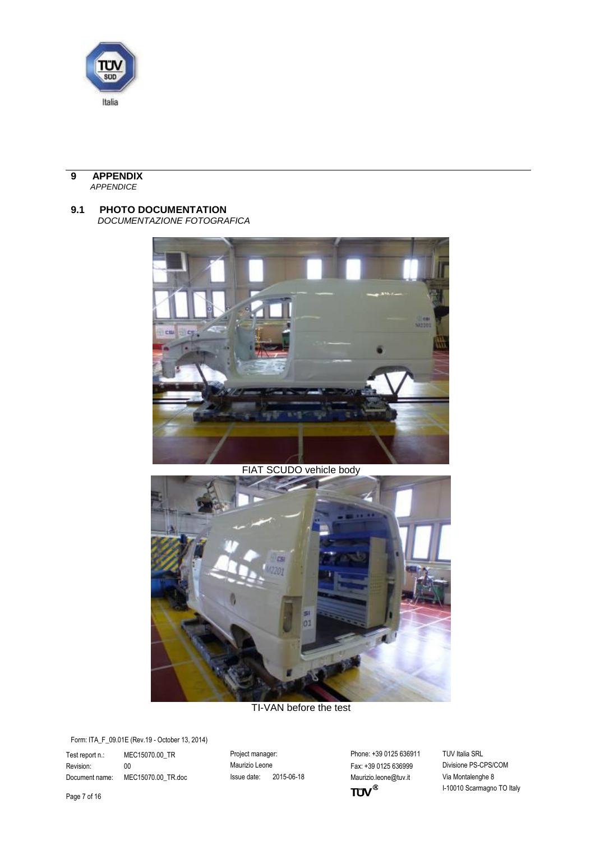

#### <span id="page-6-0"></span>**9 APPENDIX** *APPENDICE*

### <span id="page-6-1"></span>**9.1 PHOTO DOCUMENTATION**

*DOCUMENTAZIONE FOTOGRAFICA*



FIAT SCUDO vehicle body



TI-VAN before the test

Form: ITA\_F\_09.01E (Rev.19 - October 13, 2014)

Test report n.: MEC15070.00\_TR Project manager: Protect manager: Phone: +39 0125 636911 TÜV Italia SRL Revision: 00 Maurizio Leone Fax: +39 0125 636999 Divisione PS-CPS/COM

Document name: MEC15070.00\_TR.doc Issue date: 2015-06-18 Maurizio.leone@tuv.it Via Montalenghe 8<br>Page 7 of 16 I-10010 Scarmagno

I-10010 Scarmagno TO Italy

Page 7 of 16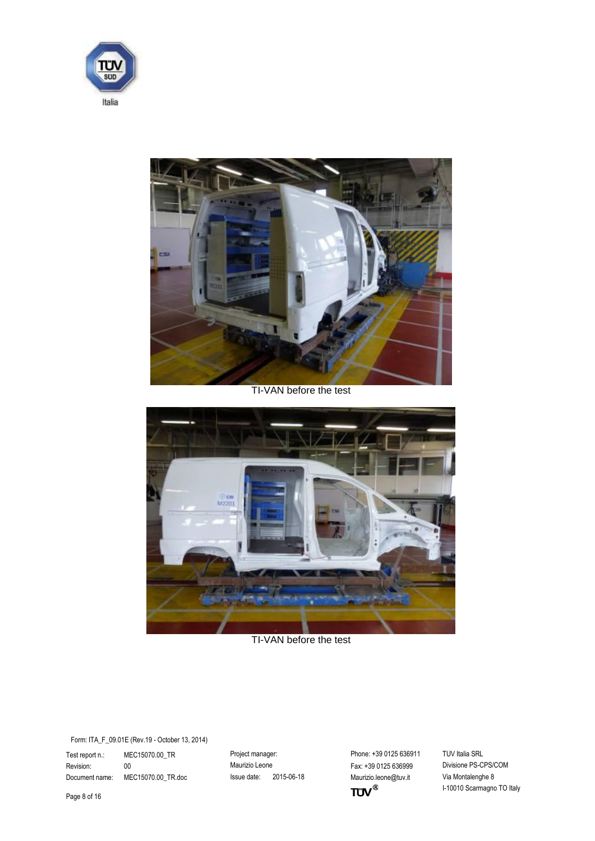



TI-VAN before the test



TI-VAN before the test

Test report n.: MEC15070.00\_TR Project manager: Phone: +39 0125 636911 TÜV Italia SRL<br>Revision: 00 00 Revisione Maurizio Leone Fax: +39 0125 636999 Divisione PS-CPS/COM Revision: 00 00 Maurizio Leone Maurizio Leone Fax: +39 0125 636999 Document name: MEC15070.00\_TR.doc Issue date: 2015-06-18 Maurizio.leone@tuv.it Via Montalenghe 8

 $TUV^{\circledast}$ 

I-10010 Scarmagno TO Italy

Page 8 of 16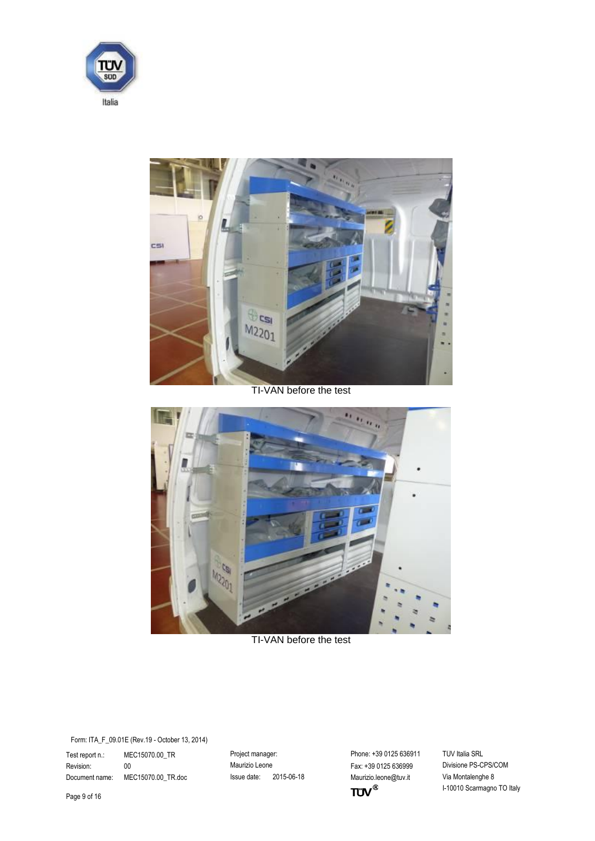



TI-VAN before the test



TI-VAN before the test

Test report n.: MEC15070.00\_TR Project manager: Phone: +39 0125 636911 TÜV Italia SRL<br>Revision: 00 00 Maurizio Leone Fax: +39 0125 636999 Divisione PS-CPS/COM Revision: 00 00 Maurizio Leone Maurizio Leone Fax: +39 0125 636999 Document name: MEC15070.00\_TR.doc Issue date: 2015-06-18 Maurizio.leone@tuv.it Via Montalenghe 8

 $TUV^{\circledast}$ 

I-10010 Scarmagno TO Italy

Page 9 of 16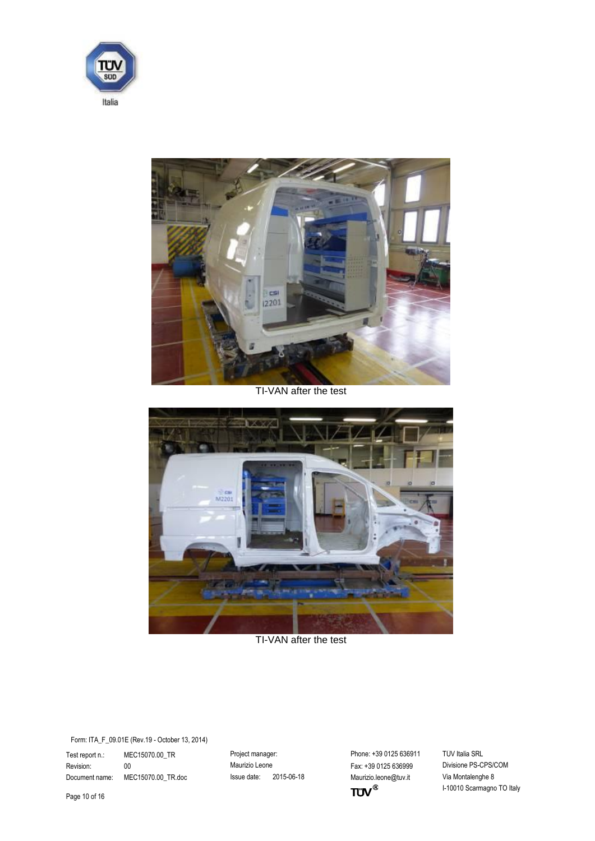



TI-VAN after the test



TI-VAN after the test

Test report n.: MEC15070.00\_TR Project manager: Phone: +39 0125 636911 TÜV Italia SRL<br>Revision: 00 00 Maurizio Leone Fax: +39 0125 636999 Divisione PS-CPS/COM Revision: 00 00 Maurizio Leone Maurizio Leone Fax: +39 0125 636999 Document name: MEC15070.00\_TR.doc Issue date: 2015-06-18 Maurizio.leone@tuv.it Via Montalenghe 8

 $TUV^{\circledast}$ 

I-10010 Scarmagno TO Italy

Page 10 of 16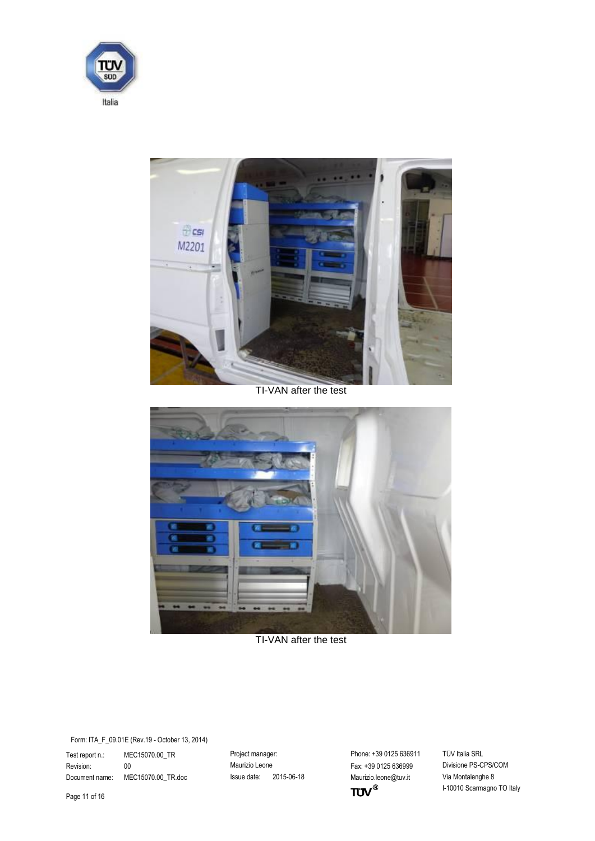



TI-VAN after the test



TI-VAN after the test

Test report n.: MEC15070.00\_TR Project manager: Phone: +39 0125 636911 TÜV Italia SRL<br>Revision: 00 00 Revisione Maurizio Leone Fax: +39 0125 636999 Divisione PS-CPS/COM Revision: 00 00 Maurizio Leone Maurizio Leone Fax: +39 0125 636999 Document name: MEC15070.00\_TR.doc Issue date: 2015-06-18 Maurizio.leone@tuv.it Via Montalenghe 8

 $TUV^{\circledast}$ 

I-10010 Scarmagno TO Italy

Page 11 of 16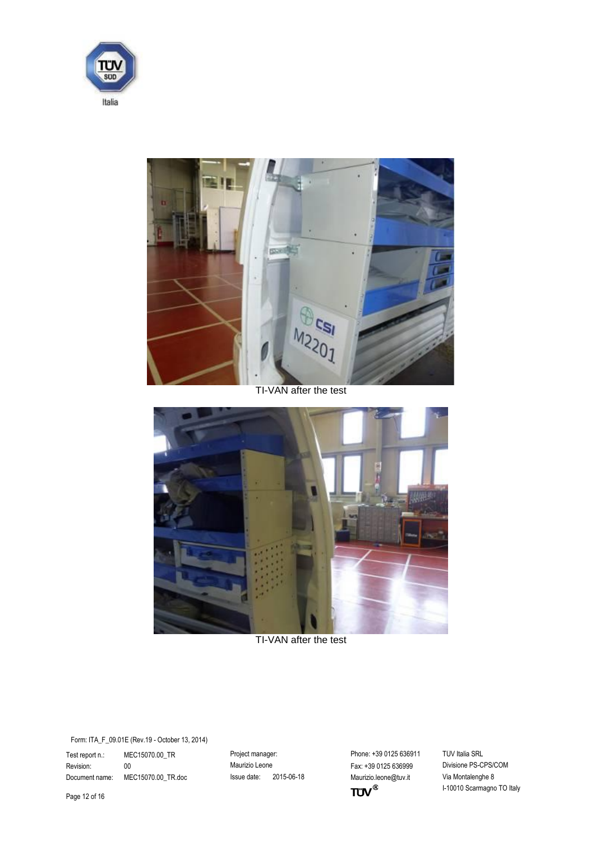



TI-VAN after the test



TI-VAN after the test

Test report n.: MEC15070.00\_TR Project manager: Phone: +39 0125 636911 TÜV Italia SRL<br>Revision: 00 00 Maurizio Leone Fax: +39 0125 636999 Divisione PS-CPS/COM Revision: 00 00 Maurizio Leone Maurizio Leone Fax: +39 0125 636999 Document name: MEC15070.00\_TR.doc Issue date: 2015-06-18 Maurizio.leone@tuv.it Via Montalenghe 8

 $TUV^{\circledast}$ 

I-10010 Scarmagno TO Italy

Page 12 of 16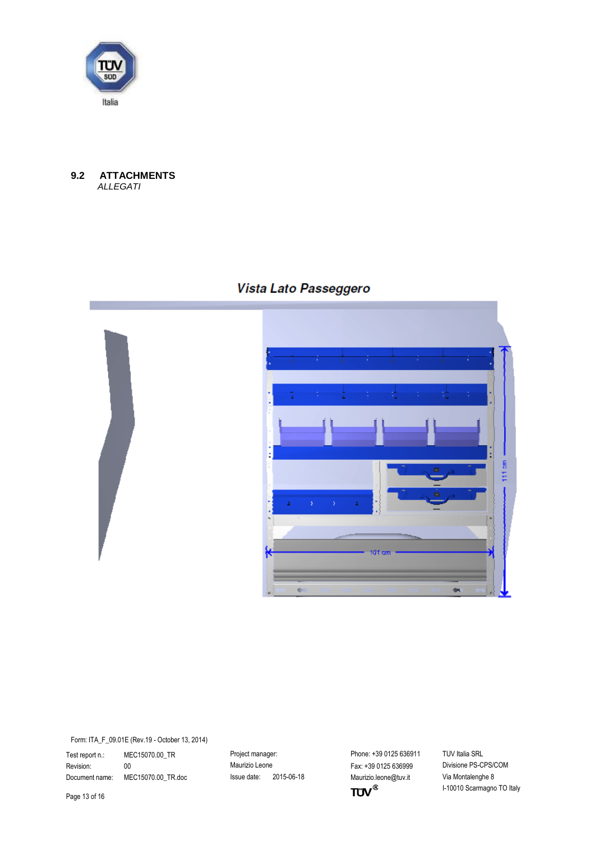

#### <span id="page-12-0"></span>**9.2 ATTACHMENTS**  *ALLEGATI*

## Vista Lato Passeggero





Form: ITA\_F\_09.01E (Rev.19 - October 13, 2014)

Test report n.: MEC15070.00\_TR Project manager: Protect manager: Phone: +39 0125 636911 TÜV Italia SRL Revision: 00 Maurizio Leone Fax: +39 0125 636999 Divisione PS-CPS/COM

Document name: MEC15070.00\_TR.doc Issue date: 2015-06-18 Maurizio.leone@tuv.it Via Montalenghe 8<br>Page 13 of 16 I-10010 Scarmagno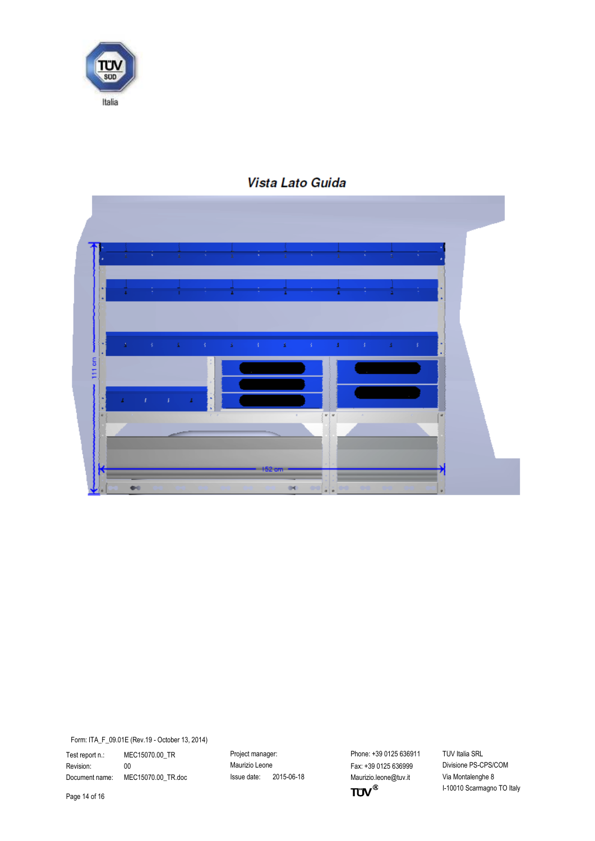



## Vista Lato Guida

Form: ITA\_F\_09.01E (Rev.19 - October 13, 2014)

Test report n.: MEC15070.00\_TR Project manager: Phone: +39 0125 636911 TÜV Italia SRL<br>Revision: 00 00 Revisione Maurizio Leone Fax: +39 0125 636999 Divisione PS-CPS/COM Revision: 00 00 Maurizio Leone Fax: +39 0125 636999 Document name: MEC15070.00\_TR.doc Issue date: 2015-06-18 Maurizio.leone@tuv.it Via Montalenghe 8

 $TUV^{\circledast}$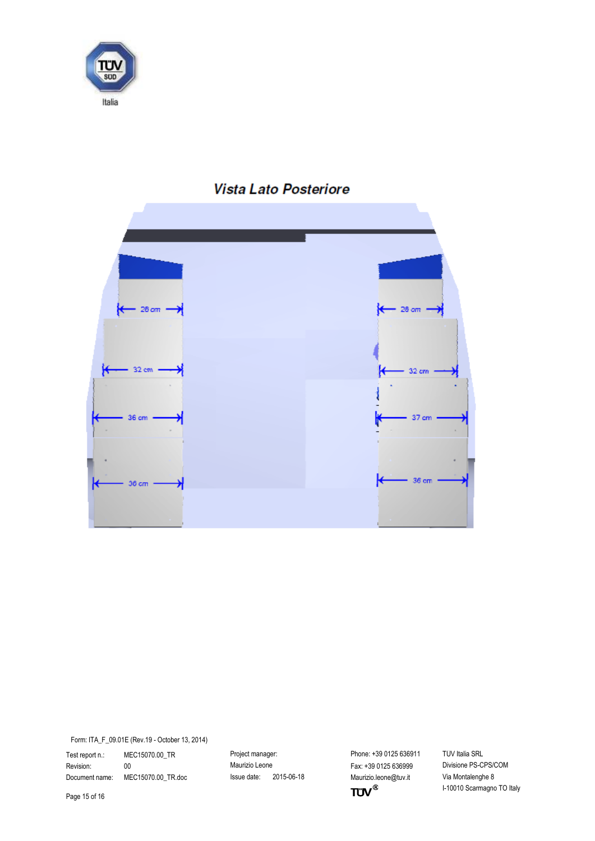



## Vista Lato Posteriore

Form: ITA\_F\_09.01E (Rev.19 - October 13, 2014)

Test report n.: MEC15070.00\_TR Project manager: Phone: +39 0125 636911 TÜV Italia SRL<br>Revision: 00 00 Revisione Maurizio Leone Fax: +39 0125 636999 Divisione PS-CPS/COM Revision: 00 00 Maurizio Leone Maurizio Leone Fax: +39 0125 636999

Document name: MEC15070.00\_TR.doc Issue date: 2015-06-18 Maurizio.leone@tuv.it Via Montalenghe 8<br>Page 15 of 16 I-10010 Scarmagno